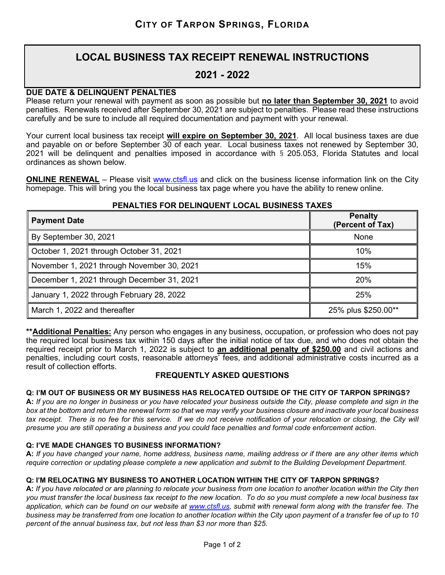# **LOCAL BUSINESS TAX RECEIPT RENEWAL INSTRUCTIONS**

# **2021 - 2022**

# **DUE DATE & DELINQUENT PENALTIES**

Please return your renewal with payment as soon as possible but **no later than September 30, 2021** to avoid penalties. Renewals received after September 30, 2021 are subject to penalties. Please read these instructions carefully and be sure to include all required documentation and payment with your renewal.

Your current local business tax receipt **will expire on September 30, 2021**. All local business taxes are due and payable on or before September 30 of each year. Local business taxes not renewed by September 30, 2021 will be delinquent and penalties imposed in accordance with § 205.053, Florida Statutes and local ordinances as shown below.

**ONLINE RENEWAL** – Please visit [www.ctsfl.us](http://www.ctsfl.us/) and click on the business license information link on the City homepage. This will bring you the local business tax page where you have the ability to renew online.

# **PENALTIES FOR DELINQUENT LOCAL BUSINESS TAXES**

| <b>Payment Date</b>                        | <b>Penalty</b><br>(Percent of Tax) |
|--------------------------------------------|------------------------------------|
| By September 30, 2021                      | None                               |
| October 1, 2021 through October 31, 2021   | 10%                                |
| November 1, 2021 through November 30, 2021 | 15%                                |
| December 1, 2021 through December 31, 2021 | 20%                                |
| January 1, 2022 through February 28, 2022  | 25%                                |
| March 1, 2022 and thereafter               | 25% plus \$250.00**                |

**\*\*Additional Penalties:** Any person who engages in any business, occupation, or profession who does not pay the required local business tax within 150 days after the initial notice of tax due, and who does not obtain the required receipt prior to March 1, 2022 is subject to **an additional penalty of \$250.00** and civil actions and penalties, including court costs, reasonable attorneys' fees, and additional administrative costs incurred as a result of collection efforts.

# **FREQUENTLY ASKED QUESTIONS**

# **Q: I'M OUT OF BUSINESS OR MY BUSINESS HAS RELOCATED OUTSIDE OF THE CITY OF TARPON SPRINGS?**

**A:** *If you are no longer in business or you have relocated your business outside the City, please complete and sign in the box at the bottom and return the renewal form so that we may verify your business closure and inactivate your local business tax receipt. There is no fee for this service. If we do not receive notification of your relocation or closing, the City will presume you are still operating a business and you could face penalties and formal code enforcement action.*

#### **Q: I'VE MADE CHANGES TO BUSINESS INFORMATION?**

**A:** *If you have changed your name, home address, business name, mailing address or if there are any other items which require correction or updating please complete a new application and submit to the Building Development Department.*

# **Q: I'M RELOCATING MY BUSINESS TO ANOTHER LOCATION WITHIN THE CITY OF TARPON SPRINGS?**

**A:** *If you have relocated or are planning to relocate your business from one location to another location within the City then you must transfer the local business tax receipt to the new location. To do so you must complete a new local business tax application, which can be found on our website at [www.ctsfl.us,](http://www.ctsfl.us/) submit with renewal form along with the transfer fee. The*  business may be transferred from one location to another location within the City upon payment of a transfer fee of up to 10 *percent of the annual business tax, but not less than \$3 nor more than \$25.*